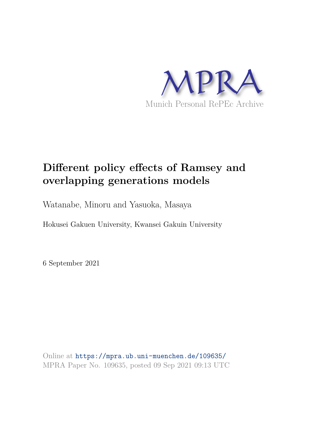

# **Different policy effects of Ramsey and overlapping generations models**

Watanabe, Minoru and Yasuoka, Masaya

Hokusei Gakuen University, Kwansei Gakuin University

6 September 2021

Online at https://mpra.ub.uni-muenchen.de/109635/ MPRA Paper No. 109635, posted 09 Sep 2021 09:13 UTC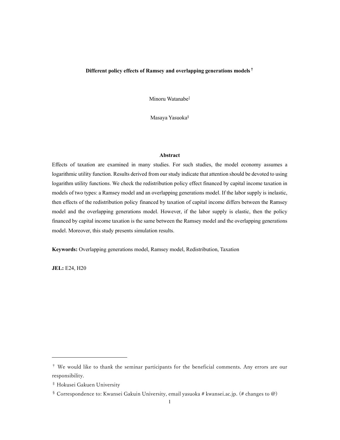## Different policy effects of Ramsey and overlapping generations models†

Minoru Watanabe‡

Masaya Yasuoka§

## Abstract

Effects of taxation are examined in many studies. For such studies, the model economy assumes a logarithmic utility function. Results derived from our study indicate that attention should be devoted to using logarithm utility functions. We check the redistribution policy effect financed by capital income taxation in models of two types: a Ramsey model and an overlapping generations model. If the labor supply is inelastic, then effects of the redistribution policy financed by taxation of capital income differs between the Ramsey model and the overlapping generations model. However, if the labor supply is elastic, then the policy financed by capital income taxation is the same between the Ramsey model and the overlapping generations model. Moreover, this study presents simulation results.

Keywords: Overlapping generations model, Ramsey model, Redistribution, Taxation

JEL: E24, H20

<sup>†</sup> We would like to thank the seminar participants for the beneficial comments. Any errors are our responsibility.

<sup>‡</sup> Hokusei Gakuen University

<sup>§</sup> Correspondence to: Kwansei Gakuin University, email yasuoka # kwansei.ac.jp. (# changes to @)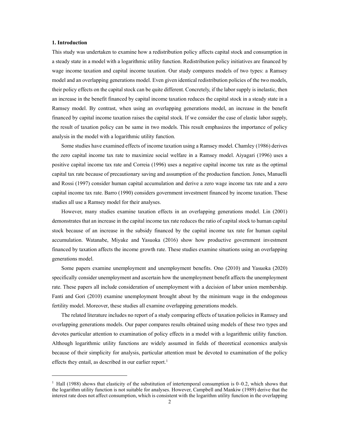#### 1. Introduction

This study was undertaken to examine how a redistribution policy affects capital stock and consumption in a steady state in a model with a logarithmic utility function. Redistribution policy initiatives are financed by wage income taxation and capital income taxation. Our study compares models of two types: a Ramsey model and an overlapping generations model. Even given identical redistribution policies of the two models, their policy effects on the capital stock can be quite different. Concretely, if the labor supply is inelastic, then an increase in the benefit financed by capital income taxation reduces the capital stock in a steady state in a Ramsey model. By contrast, when using an overlapping generations model, an increase in the benefit financed by capital income taxation raises the capital stock. If we consider the case of elastic labor supply, the result of taxation policy can be same in two models. This result emphasizes the importance of policy analysis in the model with a logarithmic utility function.

Some studies have examined effects of income taxation using a Ramsey model. Chamley (1986) derives the zero capital income tax rate to maximize social welfare in a Ramsey model. Aiyagari (1996) uses a positive capital income tax rate and Correia (1996) uses a negative capital income tax rate as the optimal capital tax rate because of precautionary saving and assumption of the production function. Jones, Manuelli and Rossi (1997) consider human capital accumulation and derive a zero wage income tax rate and a zero capital income tax rate. Barro (1990) considers government investment financed by income taxation. These studies all use a Ramsey model for their analyses.

However, many studies examine taxation effects in an overlapping generations model. Lin (2001) demonstrates that an increase in the capital income tax rate reduces the ratio of capital stock to human capital stock because of an increase in the subsidy financed by the capital income tax rate for human capital accumulation. Watanabe, Miyake and Yasuoka (2016) show how productive government investment financed by taxation affects the income growth rate. These studies examine situations using an overlapping generations model.

Some papers examine unemployment and unemployment benefits. Ono (2010) and Yasuoka (2020) specifically consider unemployment and ascertain how the unemployment benefit affects the unemployment rate. These papers all include consideration of unemployment with a decision of labor union membership. Fanti and Gori (2010) examine unemployment brought about by the minimum wage in the endogenous fertility model. Moreover, these studies all examine overlapping generations models.

The related literature includes no report of a study comparing effects of taxation policies in Ramsey and overlapping generations models. Our paper compares results obtained using models of these two types and devotes particular attention to examination of policy effects in a model with a logarithmic utility function. Although logarithmic utility functions are widely assumed in fields of theoretical economics analysis because of their simplicity for analysis, particular attention must be devoted to examination of the policy effects they entail, as described in our earlier report.<sup>1</sup>

<sup>&</sup>lt;sup>1</sup> Hall (1988) shows that elasticity of the substitution of intertemporal consumption is 0–0.2, which shows that the logarithm utility function is not suitable for analyses. However, Campbell and Mankiw (1989) derive that the interest rate does not affect consumption, which is consistent with the logarithm utility function in the overlapping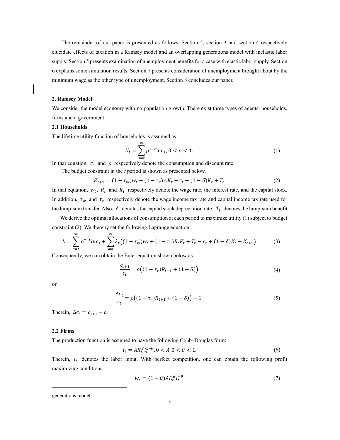The remainder of our paper is presented as follows. Section 2, section 3 and section 4 respectively elucidate effects of taxation in a Ramsey model and an overlapping generations model with inelastic labor supply. Section 5 presents examination of unemployment benefits for a case with elastic labor supply. Section 6 explains some simulation results. Section 7 presents consideration of unemployment brought about by the minimum wage as the other type of unemployment. Section 8 concludes our paper.

#### 2. Ramsey Model

We consider the model economy with no population growth. There exist three types of agents: households, firms and a government.

## 2.1 Households

The lifetime utility function of households is assumed as

$$
U_t = \sum_{s=t}^{\infty} \rho^{s-t} \ln c_s, 0 < \rho < 1.
$$
 (1)

In that equation,  $c_s$  and  $\rho$  respectively denote the consumption and discount rate.

The budget constraint in the  $t$  period is shown as presented below.

$$
K_{t+1} = (1 - \tau_w)w_t + (1 - \tau_r)r_t K_t - c_t + (1 - \delta)K_t + T_t
$$
\n(2)

In that equation,  $w_t$ ,  $R_t$  and  $K_t$  respectively denote the wage rate, the interest rate, and the capital stock. In addition,  $\tau_w$  and  $\tau_r$  respectively denote the wage income tax rate and capital income tax rate used for the lump-sum transfer. Also,  $\delta$  denotes the capital stock depreciation rate.  $T_t$  denotes the lump-sum benefit.

We derive the optimal allocations of consumption at each period to maximize utility (1) subject to budget constraint (2). We thereby set the following Lagrange equation.

$$
L = \sum_{s=t}^{\infty} \rho^{s-t} ln c_s + \sum_{s=t}^{\infty} \lambda_t ((1 - \tau_w) w_t + (1 - \tau_r) R_t K_t + T_t - c_t + (1 - \delta) K_t - K_{t+1})
$$
(3)

Consequently, we can obtain the Euler equation shown below as

$$
\frac{c_{t+1}}{c_t} = \rho \big( (1 - \tau_r) R_{t+1} + (1 - \delta) \big) \tag{4}
$$

or

$$
\frac{\Delta c_t}{c_t} = \rho \big( (1 - \tau_r) R_{t+1} + (1 - \delta) \big) - 1. \tag{5}
$$

Therein,  $\Delta c_t = c_{t+1} - c_t$ .

#### 2.2 Firms

The production function is assumed to have the following Cobb–Douglas form:

$$
Y_t = AK_t^{\theta} l_t^{1-\theta}, 0 < A, 0 < \theta < 1.
$$
 (6)

Therein,  $l_t$  denotes the labor input. With perfect competition, one can obtain the following profit maximizing conditions.

$$
w_t = (1 - \theta)AK_t^{\theta}l_t^{-\theta}
$$
\n<sup>(7)</sup>

generations model.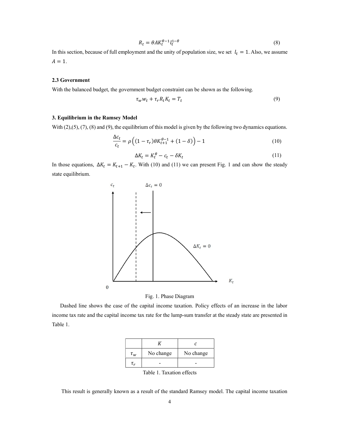$$
R_t = \theta A K_t^{\theta - 1} l_t^{1 - \theta} \tag{8}
$$

In this section, because of full employment and the unity of population size, we set  $l_t = 1$ . Also, we assume  $A = 1$ .

## 2.3 Government

With the balanced budget, the government budget constraint can be shown as the following.

$$
\tau_w w_t + \tau_r R_t K_t = T_t \tag{9}
$$

## 3. Equilibrium in the Ramsey Model

With  $(2),(5),(7),(8)$  and  $(9)$ , the equilibrium of this model is given by the following two dynamics equations.

$$
\frac{\Delta c_t}{c_t} = \rho \left( (1 - \tau_r) \theta K_{t+1}^{\theta - 1} + (1 - \delta) \right) - 1 \tag{10}
$$

$$
\Delta K_t = K_t^{\theta} - c_t - \delta K_t \tag{11}
$$

In those equations,  $\Delta K_t = K_{t+1} - K_t$ . With (10) and (11) we can present Fig. 1 and can show the steady state equilibrium.





 Dashed line shows the case of the capital income taxation. Policy effects of an increase in the labor income tax rate and the capital income tax rate for the lump-sum transfer at the steady state are presented in Table 1.

| $\tau_{w}$ | No change | No change |  |
|------------|-----------|-----------|--|
|            |           |           |  |

Table 1. Taxation effects

This result is generally known as a result of the standard Ramsey model. The capital income taxation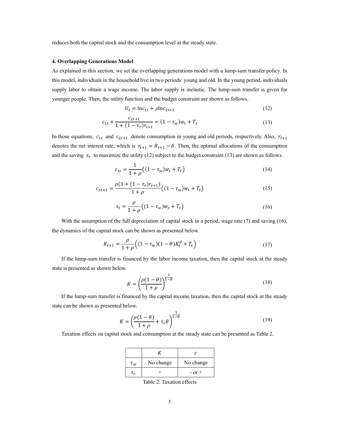reduces both the capital stock and the consumption level at the steady state.

#### 4. Overlapping Generations Model

As explained in this section, we set the overlapping generations model with a lump-sum transfer policy. In this model, individuals in the household live in two periods: young and old. In the young period, individuals supply labor to obtain a wage income. The labor supply is inelastic. The lump-sum transfer is given for younger people. Then, the utility function and the budget constraint are shown as follows.

$$
U_t = \ln c_{1t} + \rho \ln c_{2t+1} \tag{12}
$$

$$
c_{1t} + \frac{c_{2t+1}}{1 + (1 - \tau_r)r_{t+1}} = (1 - \tau_w)w_t + T_t
$$
\n(13)

In those equations,  $c_{1t}$  and  $c_{2t+1}$  denote consumption in young and old periods, respectively. Also,  $r_{t+1}$ denotes the net interest rate, which is  $r_{t+1} = R_{t+1} - \delta$ . Then, the optimal allocations of the consumption and the saving  $s_t$  to maximize the utility (12) subject to the budget constraint (13) are shown as follows.

$$
c_{1t} = \frac{1}{1+\rho} \left( (1 - \tau_w) w_t + T_t \right) \tag{14}
$$

$$
c_{2t+1} = \frac{\rho(1 + (1 - \tau_r)r_{t+1})}{1 + \rho} \left( (1 - \tau_w)w_t + T_t \right) \tag{15}
$$

$$
s_t = \frac{\rho}{1+\rho} \left( (1 - \tau_w) w_t + T_t \right) \tag{16}
$$

With the assumption of the full depreciation of capital stock in a period, wage rate (7) and saving (16), the dynamics of the capital stock can be shown as presented below.

$$
K_{t+1} = \frac{\rho}{1+\rho} \Big( (1-\tau_w)(1-\theta)K_t^{\theta} + T_t \Big)
$$
 (17)

If the lump-sum transfer is financed by the labor income taxation, then the capital stock at the steady state is presented as shown below.

$$
K = \left(\frac{\rho(1-\theta)}{1+\rho}\right)^{\frac{1}{1-\theta}}
$$
\n(18)

If the lump-sum transfer is financed by the capital income taxation, then the capital stock at the steady state can be shown as presented below.

$$
K = \left(\frac{\rho(1-\theta)}{1+\rho} + \tau_r \theta\right)^{\frac{1}{1-\theta}}
$$
\n(19)

Taxation effects on capital stock and consumption at the steady state can be presented as Table 2.

| $\tau_{w}$ | No change | No change  |  |
|------------|-----------|------------|--|
|            |           | $-$ or $+$ |  |

Table 2. Taxation effects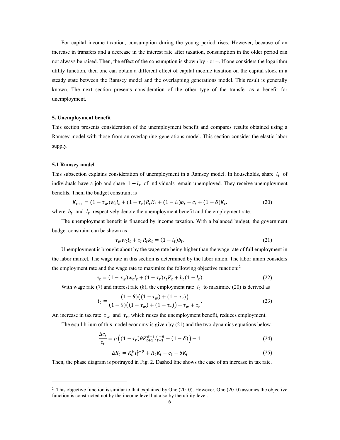For capital income taxation, consumption during the young period rises. However, because of an increase in transfers and a decrease in the interest rate after taxation, consumption in the older period can not always be raised. Then, the effect of the consumption is shown by  $-$  or  $+$ . If one considers the logarithm utility function, then one can obtain a different effect of capital income taxation on the capital stock in a steady state between the Ramsey model and the overlapping generations model. This result is generally known. The next section presents consideration of the other type of the transfer as a benefit for unemployment.

#### 5. Unemployment benefit

This section presents consideration of the unemployment benefit and compares results obtained using a Ramsey model with those from an overlapping generations model. This section consider the elastic labor supply.

#### 5.1 Ramsey model

This subsection explains consideration of unemployment in a Ramsey model. In households, share  $l_t$  of individuals have a job and share  $1 - l_t$  of individuals remain unemployed. They receive unemployment benefits. Then, the budget constraint is

$$
K_{t+1} = (1 - \tau_w)w_t l_t + (1 - \tau_r)R_t K_t + (1 - l_t) b_t - c_t + (1 - \delta)K_t.
$$
 (20)

where  $b_t$  and  $l_t$  respectively denote the unemployment benefit and the employment rate.

The unemployment benefit is financed by income taxation. With a balanced budget, the government budget constraint can be shown as

$$
\tau_w w_t l_t + \tau_r R_t k_t = (1 - l_t) b_t. \tag{21}
$$

Unemployment is brought about by the wage rate being higher than the wage rate of full employment in the labor market. The wage rate in this section is determined by the labor union. The labor union considers the employment rate and the wage rate to maximize the following objective function:<sup>2</sup>

$$
v_t = (1 - \tau_w)w_t l_t + (1 - \tau_r)r_t K_t + b_t (1 - l_t). \tag{22}
$$

With wage rate (7) and interest rate (8), the employment rate  $l_t$  to maximize (20) is derived as

$$
l_t = \frac{(1 - \theta)\left((1 - \tau_w) + (1 - \tau_r)\right)}{(1 - \theta)\left((1 - \tau_w) + (1 - \tau_r)\right) + \tau_w + \tau_r}.
$$
\n(23)

An increase in tax rate  $\tau_w$  and  $\tau_r$ , which raises the unemployment benefit, reduces employment.

The equilibrium of this model economy is given by (21) and the two dynamics equations below.

$$
\frac{\Delta c_t}{c_t} = \rho \left( (1 - \tau_r) \theta K_{t+1}^{\theta - 1} l_{t+1}^{1 - \theta} + (1 - \delta) \right) - 1 \tag{24}
$$

$$
\Delta K_t = K_t^{\theta} l_t^{1-\theta} + R_t K_t - c_t - \delta K_t \tag{25}
$$

Then, the phase diagram is portrayed in Fig. 2. Dashed line shows the case of an increase in tax rate.

<sup>&</sup>lt;sup>2</sup> This objective function is similar to that explained by Ono (2010). However, Ono (2010) assumes the objective function is constructed not by the income level but also by the utility level.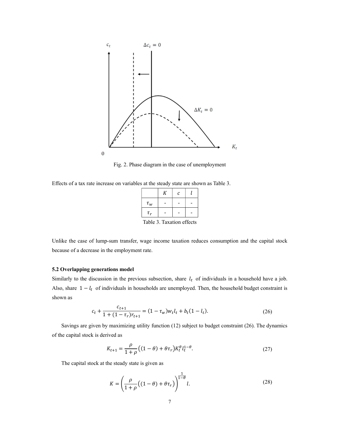

Fig. 2. Phase diagram in the case of unemployment

Effects of a tax rate increase on variables at the steady state are shown as Table 3.

|          | К | $\mathcal{C}_{0}$ |  |
|----------|---|-------------------|--|
| $\tau_w$ |   |                   |  |
| $\tau_r$ |   |                   |  |
|          |   |                   |  |

Table 3. Taxation effects

Unlike the case of lump-sum transfer, wage income taxation reduces consumption and the capital stock because of a decrease in the employment rate.

## 5.2 Overlapping generations model

Similarly to the discussion in the previous subsection, share  $l_t$  of individuals in a household have a job. Also, share  $1 - l_t$  of individuals in households are unemployed. Then, the household budget constraint is shown as

$$
c_t + \frac{c_{t+1}}{1 + (1 - \tau_r)r_{t+1}} = (1 - \tau_w)w_t l_t + b_t (1 - l_t).
$$
\n(26)

Savings are given by maximizing utility function (12) subject to budget constraint (26). The dynamics of the capital stock is derived as

$$
K_{t+1} = \frac{\rho}{1+\rho} \left( (1-\theta) + \theta \tau_r \right) K_t^{\theta} l_t^{1-\theta}.
$$
 (27)

The capital stock at the steady state is given as

$$
K = \left(\frac{\rho}{1+\rho}\left((1-\theta) + \theta\tau_r\right)\right)^{\frac{1}{1-\theta}}l.
$$
\n(28)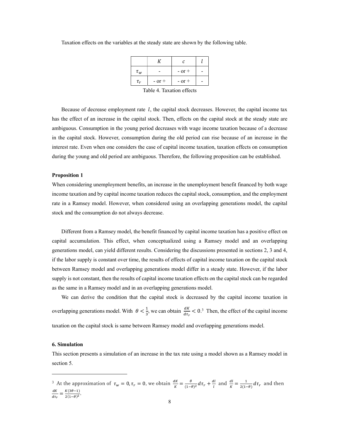| $\tau_{w}$ |            | $-$ or $+$ |  |
|------------|------------|------------|--|
| $\tau_r$   | $-$ or $+$ | $-$ or $+$ |  |

Taxation effects on the variables at the steady state are shown by the following table.

Table 4. Taxation effects

Because of decrease employment rate  $l$ , the capital stock decreases. However, the capital income tax has the effect of an increase in the capital stock. Then, effects on the capital stock at the steady state are ambiguous. Consumption in the young period decreases with wage income taxation because of a decrease in the capital stock. However, consumption during the old period can rise because of an increase in the interest rate. Even when one considers the case of capital income taxation, taxation effects on consumption during the young and old period are ambiguous. Therefore, the following proposition can be established.

#### Proposition 1

When considering unemployment benefits, an increase in the unemployment benefit financed by both wage income taxation and by capital income taxation reduces the capital stock, consumption, and the employment rate in a Ramsey model. However, when considered using an overlapping generations model, the capital stock and the consumption do not always decrease.

Different from a Ramsey model, the benefit financed by capital income taxation has a positive effect on capital accumulation. This effect, when conceptualized using a Ramsey model and an overlapping generations model, can yield different results. Considering the discussions presented in sections 2, 3 and 4, if the labor supply is constant over time, the results of effects of capital income taxation on the capital stock between Ramsey model and overlapping generations model differ in a steady state. However, if the labor supply is not constant, then the results of capital income taxation effects on the capital stock can be regarded as the same in a Ramsey model and in an overlapping generations model.

We can derive the condition that the capital stock is decreased by the capital income taxation in overlapping generations model. With  $\theta < \frac{1}{3}$ , we can obtain  $\frac{dK}{dt_T} < 0.3$  Then, the effect of the capital income taxation on the capital stock is same between Ramsey model and overlapping generations model.

#### 6. Simulation

This section presents a simulation of an increase in the tax rate using a model shown as a Ramsey model in section 5.

<sup>&</sup>lt;sup>3</sup> At the approximation of  $\tau_w = 0, \tau_r = 0$ , we obtain  $\frac{dk}{K} = \frac{\theta}{(1 - \theta)^2}$  $\frac{\theta}{(1-\theta)^2} d\tau_r + \frac{dl}{l}$  $\frac{dI}{l}$  and  $\frac{dI}{K} = \frac{1}{2(1-\frac{1}{\epsilon})}$  $\frac{1}{2(1-\theta)} d\tau_r$  and then dK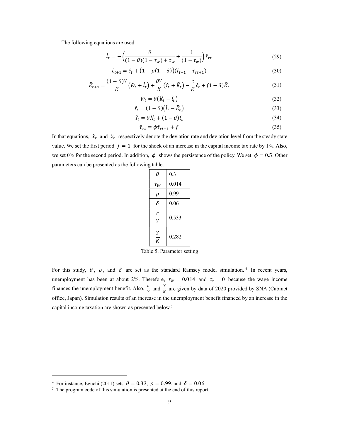The following equations are used.

$$
\hat{l}_t = -\left(\frac{\theta}{(1-\theta)(1-\tau_w)+\tau_w} + \frac{1}{(1-\tau_w)}\right)\tilde{\tau}_{rt}
$$
\n(29)

$$
\hat{c}_{t+1} = \hat{c}_t + (1 - \rho(1 - \delta))(\hat{r}_{t+1} - \tilde{r}_{rt+1})
$$
\n(30)

$$
\widehat{K}_{t+1} = \frac{(1-\theta)Y}{K} \left(\widehat{w}_t + \widehat{l}_t\right) + \frac{\theta Y}{K} \left(\widehat{r}_t + \widehat{K}_t\right) - \frac{c}{K} \widehat{c}_t + (1-\delta)\widehat{K}_t \tag{31}
$$

$$
\widehat{w}_t = \theta \big( \widehat{K}_t - \widehat{l}_t \big) \tag{32}
$$

$$
\hat{r}_t = (1 - \theta)(\hat{l}_t - \hat{K}_t) \tag{33}
$$

$$
\hat{Y}_t = \theta \hat{K}_t + (1 - \theta)\hat{l}_t \tag{34}
$$

$$
\tilde{\tau}_{rt} = \phi \tilde{\tau}_{rt-1} + f \tag{35}
$$

In that equations,  $\hat{x}_t$  and  $\tilde{x}_t$  respectively denote the deviation rate and deviation level from the steady state value. We set the first period  $f = 1$  for the shock of an increase in the capital income tax rate by 1%. Also, we set 0% for the second period. In addition,  $\phi$  shows the persistence of the policy. We set  $\phi = 0.5$ . Other parameters can be presented as the following table.

| θ                   | 0.3   |
|---------------------|-------|
| $\tau_W$            | 0.014 |
| ρ                   | 0.99  |
| δ                   | 0.06  |
| с<br>$\overline{Y}$ | 0.533 |
| Υ<br>K              | 0.282 |

Table 5. Parameter setting

For this study,  $\theta$ ,  $\rho$ , and  $\delta$  are set as the standard Ramsey model simulation.<sup>4</sup> In recent years, unemployment has been at about 2%. Therefore,  $\tau_W = 0.014$  and  $\tau_r = 0$  because the wage income finances the unemployment benefit. Also,  $\frac{c}{y}$  and  $\frac{Y}{K}$  are given by data of 2020 provided by SNA (Cabinet office, Japan). Simulation results of an increase in the unemployment benefit financed by an increase in the capital income taxation are shown as presented below.<sup>5</sup>

<sup>&</sup>lt;sup>4</sup> For instance, Eguchi (2011) sets  $\theta = 0.33$ ,  $\rho = 0.99$ , and  $\delta = 0.06$ .<br><sup>5</sup> The program code of this simulation is presented at the end of this report.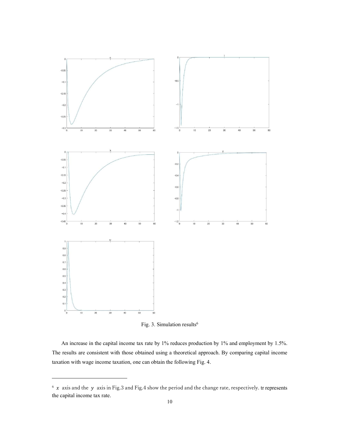

Fig. 3. Simulation results<sup>6</sup>

An increase in the capital income tax rate by 1% reduces production by 1% and employment by 1.5%. The results are consistent with those obtained using a theoretical approach. By comparing capital income taxation with wage income taxation, one can obtain the following Fig. 4.

 $6 \times x$  axis and the y axis in Fig.3 and Fig.4 show the period and the change rate, respectively. tr represents the capital income tax rate.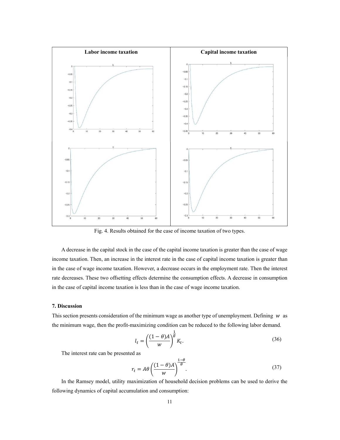

Fig. 4. Results obtained for the case of income taxation of two types.

A decrease in the capital stock in the case of the capital income taxation is greater than the case of wage income taxation. Then, an increase in the interest rate in the case of capital income taxation is greater than in the case of wage income taxation. However, a decrease occurs in the employment rate. Then the interest rate decreases. These two offsetting effects determine the consumption effects. A decrease in consumption in the case of capital income taxation is less than in the case of wage income taxation.

## 7. Discussion

This section presents consideration of the minimum wage as another type of unemployment. Defining  $w$  as the minimum wage, then the profit-maximizing condition can be reduced to the following labor demand.

$$
l_t = \left(\frac{(1-\theta)A}{w}\right)^{\frac{1}{\theta}} K_t.
$$
\n(36)

The interest rate can be presented as

$$
r_t = A\theta \left(\frac{(1-\theta)A}{w}\right)^{\frac{1-\theta}{\theta}}.\tag{37}
$$

In the Ramsey model, utility maximization of household decision problems can be used to derive the following dynamics of capital accumulation and consumption: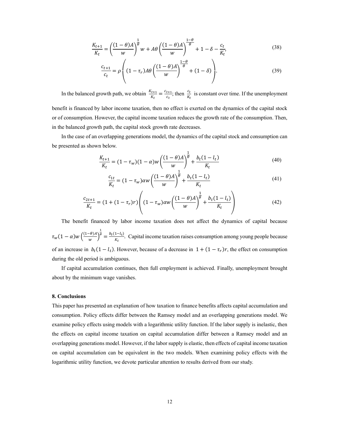$$
\frac{K_{t+1}}{K_t} = \left(\frac{(1-\theta)A}{w}\right)^{\frac{1}{\theta}} w + A\theta \left(\frac{(1-\theta)A}{w}\right)^{\frac{1-\theta}{\theta}} + 1 - \delta - \frac{c_t}{K_t},\tag{38}
$$

$$
\frac{c_{t+1}}{c_t} = \rho \left( (1 - \tau_r) A \theta \left( \frac{(1 - \theta) A}{w} \right)^{\frac{1 - \theta}{\theta}} + (1 - \delta) \right).
$$
 (39)

In the balanced growth path, we obtain  $\frac{K_{t+1}}{K_t} = \frac{c_{t+1}}{c_t}$  $\frac{c_{t+1}}{c_t}$ ; then  $\frac{c_t}{K_t}$  is constant over time. If the unemployment

benefit is financed by labor income taxation, then no effect is exerted on the dynamics of the capital stock or of consumption. However, the capital income taxation reduces the growth rate of the consumption. Then, in the balanced growth path, the capital stock growth rate decreases.

In the case of an overlapping generations model, the dynamics of the capital stock and consumption can be presented as shown below.

$$
\frac{K_{t+1}}{K_t} = (1 - \tau_w)(1 - \alpha)w \left(\frac{(1 - \theta)A}{w}\right)^{\frac{1}{\theta}} + \frac{b_t(1 - l_t)}{K_t}
$$
(40)

$$
\frac{c_{1t}}{K_t} = (1 - \tau_w)\alpha w \left(\frac{(1 - \theta)A}{w}\right)^{\frac{1}{\theta}} + \frac{b_t(1 - l_t)}{K_t}
$$
(41)

$$
\frac{c_{2t+1}}{K_t} = (1 + (1 - \tau_r)r) \left( (1 - \tau_w)\alpha w \left( \frac{(1 - \theta)A}{w} \right)^{\frac{1}{\theta}} + \frac{b_t (1 - l_t)}{K_t} \right) \tag{42}
$$

The benefit financed by labor income taxation does not affect the dynamics of capital because  $\tau_w(1-\alpha) w\left(\frac{(1-\theta)A}{w}\right)$  $\frac{1}{w}$  $\frac{1}{\theta} = \frac{b_t(1-l_t)}{K_t}$  $\frac{1-t_{t}}{K_{t}}$ . Capital income taxation raises consumption among young people because of an increase in  $b_t(1 - l_t)$ . However, because of a decrease in  $1 + (1 - \tau_r)r$ , the effect on consumption during the old period is ambiguous.

If capital accumulation continues, then full employment is achieved. Finally, unemployment brought about by the minimum wage vanishes.

## 8. Conclusions

This paper has presented an explanation of how taxation to finance benefits affects capital accumulation and consumption. Policy effects differ between the Ramsey model and an overlapping generations model. We examine policy effects using models with a logarithmic utility function. If the labor supply is inelastic, then the effects on capital income taxation on capital accumulation differ between a Ramsey model and an overlapping generations model. However, if the labor supply is elastic, then effects of capital income taxation on capital accumulation can be equivalent in the two models. When examining policy effects with the logarithmic utility function, we devote particular attention to results derived from our study.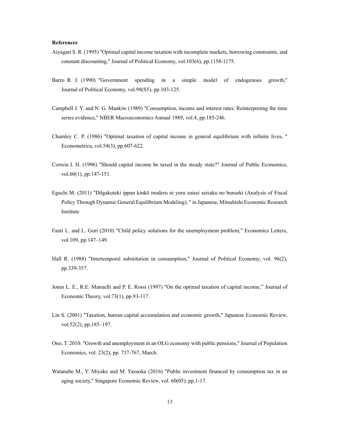#### **References**

- Aiyagari S. R. (1995) "Optimal capital income taxation with incomplete markets, borrowing constraints, and constant discounting," Journal of Political Economy, vol.103(6), pp.1158-1175.
- Barro R. J. (1990) "Government spending in a simple model of endogenous growth," Journal of Political Economy, vol.98(S5), pp.103-125.
- Campbell J. Y. and N. G. Mankiw (1989) "Consumption, income and interest rates: Reinterpreting the time series evidence," NBER Macroeconomics Annual 1989, vol.4, pp.185-246.
- Chamley C. P. (1986) "Optimal taxation of capital income in general equilibrium with infinite lives, " Econometrica, vol.54(3), pp.607-622.
- Correia I. H. (1996) "Should capital income be taxed in the steady state?" Journal of Public Economics, vol.60(1), pp.147-151.
- Eguchi M. (2011) "Dōgakuteki ippan kinkō moderu ni yoru zaisei seisaku no bunseki (Analysis of Fiscal Policy Through Dynamic General Equilibrium Modeling), " in Japanese, Mitsubishi Economic Research Institute
- Fanti L. and L. Gori (2010) "Child policy solutions for the unemployment problem," Economics Letters, vol.109, pp.147–149.
- Hall R. (1988) "Intertemporal substitution in consumption," Journal of Political Economy, vol. 96(2), pp.339-357.
- Jones L. E., R.E. Manuelli and P. E. Rossi (1997) "On the optimal taxation of capital income," Journal of Economic Theory, vol.73(1), pp.93-117.
- Lin S. (2001) "Taxation, human capital accumulation and economic growth," Japanese Economic Review, vol.52(2), pp.185–197.
- Ono, T. 2010. "Growth and unemployment in an OLG economy with public pensions," Journal of Population Economics, vol. 23(2), pp. 737-767, March.
- Watanabe M., Y. Miyake and M. Yasuoka (2016) "Public investment financed by consumption tax in an aging society," Singapore Economic Review, vol. 60(05), pp.1-17.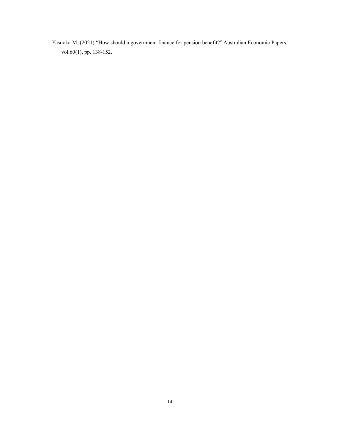Yasuoka M. (2021) "How should a government finance for pension benefit?" Australian Economic Papers, vol.60(1), pp. 138-152.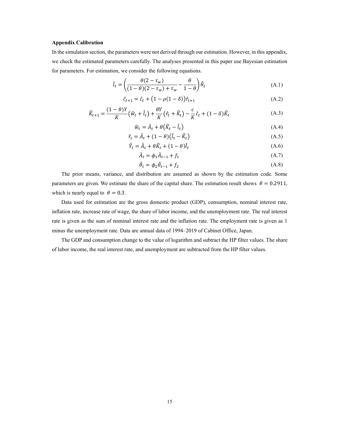#### Appendix Calibration

In the simulation section, the parameters were not derived through our estimation. However, in this appendix, we check the estimated parameters carefully. The analyses presented in this paper use Bayesian estimation for parameters. For estimation, we consider the following equations.

$$
\hat{l}_t = \left(\frac{\theta(2 - \tau_w)}{(1 - \theta)(2 - \tau_w) + \tau_w} - \frac{\theta}{1 - \theta}\right)\hat{\theta}_t
$$
\n(A.1)

$$
\hat{c}_{t+1} = \hat{c}_t + (1 - \rho(1 - \delta))\hat{r}_{t+1}
$$
\n(A.2)

$$
\widehat{K}_{t+1} = \frac{(1-\theta)Y}{K} \left(\widehat{w}_t + \widehat{l}_t\right) + \frac{\theta Y}{K} \left(\widehat{r}_t + \widehat{K}_t\right) - \frac{c}{K} \widehat{c}_t + (1-\delta)\widehat{K}_t \tag{A.3}
$$

$$
\widehat{w}_t = \widehat{A}_t + \theta \big( \widehat{K}_t - \widehat{l}_t \big) \tag{A.4}
$$

$$
\hat{r}_t = \hat{A}_t + (1 - \theta)(\hat{l}_t - \hat{K}_t)
$$
\n(A.5)

$$
\hat{Y}_t = \hat{A}_t + \theta \hat{K}_t + (1 - \theta)\hat{l}_t \tag{A.6}
$$

$$
\hat{A}_t = \phi_1 \hat{A}_{t-1} + f_1 \tag{A.7}
$$

$$
\hat{\theta}_t = \phi_2 \hat{\theta}_{t-1} + f_2 \tag{A.8}
$$

The prior means, variance, and distribution are assumed as shown by the estimation code. Some parameters are given. We estimate the share of the capital share. The estimation result shows  $\theta = 0.2911$ , which is nearly equal to  $\theta = 0.3$ .

Data used for estimation are the gross domestic product (GDP), consumption, nominal interest rate, inflation rate, increase rate of wage, the share of labor income, and the unemployment rate. The real interest rate is given as the sum of nominal interest rate and the inflation rate. The employment rate is given as 1 minus the unemployment rate. Data are annual data of 1994–2019 of Cabinet Office, Japan.

The GDP and consumption change to the value of logarithm and subtract the HP filter values. The share of labor income, the real interest rate, and unemployment are subtracted from the HP filter values.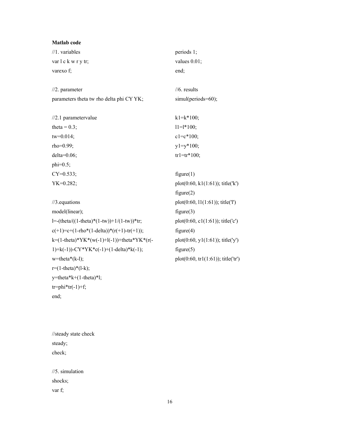| <b>Matlab</b> code                                        |                                     |
|-----------------------------------------------------------|-------------------------------------|
| $/1.$ variables                                           | periods 1;                          |
| var l c k w r y tr;                                       | values 0.01;                        |
| varexo f;                                                 | end;                                |
|                                                           |                                     |
| $1/2.$ parameter                                          | $1/6$ . results                     |
| parameters theta tw rho delta phi CY YK;                  | simul(periods=60);                  |
|                                                           |                                     |
| $1/2.1$ parametervalue                                    | $k1=k*100;$                         |
| theta = $0.3$ ;                                           | $11 = 1*100;$                       |
| $tw=0.014;$                                               | $c1 = c*100;$                       |
| rho=0.99;                                                 | $y1=y*100;$                         |
| $delta=0.06;$                                             | $tr1 = tr*100;$                     |
| $phi=0.5;$                                                |                                     |
| $CY=0.533;$                                               | figure(1)                           |
| $YK=0.282;$                                               | $plot(0:60, k1(1:61));$ title('k')  |
|                                                           | figure(2)                           |
| $/3$ . equations                                          | $plot(0:60, 11(1:61))$ ; title('l') |
| model(linear);                                            | figure(3)                           |
| $l = (theta/((1 - theta) * (1 - tw)) + 1/(1 - tw)) * tr;$ | $plot(0:60, c1(1:61));$ title('c')  |
| $c(+1)=c+(1-rho*(1-delta))*(r(+1)-tr(+1));$               | figure(4)                           |
| k=(1-theta)*YK*(w(-1)+l(-1))+theta*YK*(r(-                | $plot(0:60, y1(1:61))$ ; title('y') |
| 1)+k(-1))-CY*YK*c(-1)+(1-delta)*k(-1);                    | figure(5)                           |
| $w$ =theta*(k-l);                                         | plot(0:60, tr1(1:61)); title('tr')  |
| $r=(1-theta)*(l-k);$                                      |                                     |
| y=theta*k+(1-theta)*l;                                    |                                     |
| $tr=phi*tr(-1)+f;$                                        |                                     |

```
//steady state check 
steady; 
check;
```
end;

//5. simulation shocks; var f;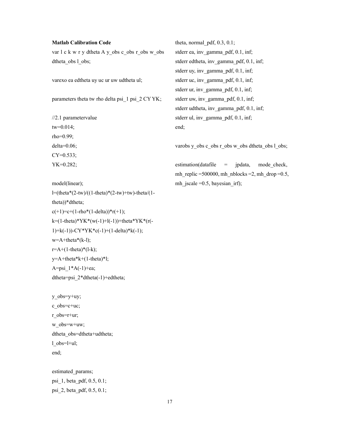## Matlab Calibration Code

var l c k w r y dtheta A y\_obs c\_obs r\_obs w\_obs dtheta\_obs l\_obs;

varexo ea edtheta uy uc ur uw udtheta ul;

parameters theta tw rho delta psi\_1 psi\_2 CY YK;

//2.1 parametervalue tw=0.014; rho=0.99; delta=0.06; CY=0.533; YK=0.282;

model(linear); l=(theta\*(2-tw)/((1-theta)\*(2-tw)+tw)-theta/(1 theta))\*dtheta;  $c(+1)=c+(1-rho*(1-delta))^*r(+1);$ k=(1-theta)\*YK\*(w(-1)+l(-1))+theta\*YK\*(r(- 1)+k(-1))-CY\*YK\*c(-1)+(1-delta)\*k(-1);  $w = A + \theta * (k-1);$  $r=A+(1-theta)*(l-k);$ y=A+theta\*k+(1-theta)\*l; A=psi  $1*A(-1)+ea;$ dtheta=psi\_2\*dtheta(-1)+edtheta;

y\_obs=y+uy; c\_obs=c+uc; r\_obs=r+ur; w\_obs=w+uw; dtheta obs=dtheta+udtheta; l  $obs=$ l+ul; end;

estimated\_params; psi\_1, beta\_pdf, 0.5, 0.1; psi\_2, beta\_pdf, 0.5, 0.1;

theta, normal  $pdf, 0.3, 0.1;$ stderr ea, inv\_gamma\_pdf, 0.1, inf; stderr edtheta, inv\_gamma\_pdf, 0.1, inf; stderr uy, inv\_gamma\_pdf, 0.1, inf; stderr uc, inv\_gamma\_pdf, 0.1, inf; stderr ur, inv\_gamma\_pdf, 0.1, inf; stderr uw, inv\_gamma\_pdf, 0.1, inf; stderr udtheta, inv\_gamma\_pdf, 0.1, inf; stderr ul, inv\_gamma\_pdf, 0.1, inf; end;

varobs y\_obs c\_obs r\_obs w\_obs dtheta\_obs l\_obs;

estimation(datafile = jpdata, mode\_check, mh\_replic =500000, mh\_nblocks =2, mh\_drop =0.5, mh\_jscale =0.5, bayesian\_irf);